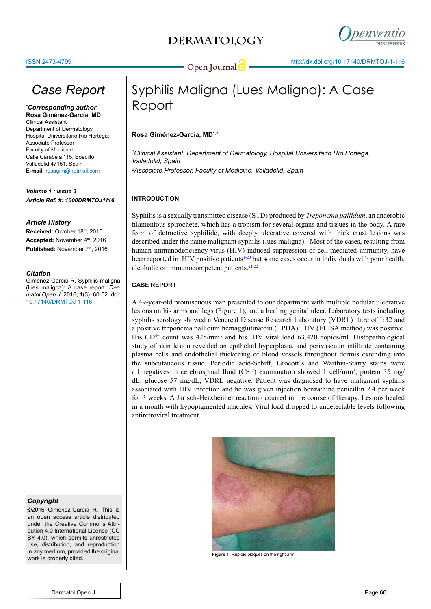## **DERMATOLOGY**



# *Case Report*

*\* Corresponding author* **Rosa Giménez-García, MD**

Clinical Assistant Department of Dermatology Hospital Universitario Rio Hortega; Associate Professor Faculty of Medicine Calle Carabela 115, Boecillo Valladolid 47151, Spain **E-mail:** rosagim@hotmail.com

*Volume 1 : Issue 3 Article Ref. #: 1000DRMTOJ1116*

## *Article History*

Received: October 18th, 2016 Accepted: November 4<sup>th</sup>, 2016 Published: November 7<sup>th</sup>, 2016

## *Citation*

Giménez-García R. Syphilis maligna (lues maligna): A case report. *Dermatol Open J*. 2016; 1(3): 60-62. doi: 10.17140/DRMTOJ-1-116

## *Copyright*

©2016 Giménez-García R. This is an open access article distributed under the Creative Commons Attribution 4.0 International License (CC BY 4.0), which permits unrestricted use, distribution, and reproduction in any medium, provided the original work is properly cited.

# Syphilis Maligna (Lues Maligna): A Case Report

## **Rosa Giménez-García, MD1,2\***

*1 Clinical Assistant, Department of Dermatology, Hospital Universitario Río Hortega, Valladolid, Spain 2 Associate Professor, Faculty of Medicine, Valladolid, Spain*

## **INTRODUCTION**

Syphilis is a sexually transmitted disease (STD) produced by *Treponema pallidum*, an anaerobic filamentous spirochete, which has a tropism for several organs and tissues in the body. A rare form of detructive syphilide, with deeply ulcerative covered with thick crust lesions was described under the name malignant syphilis (lues maligna).<sup>[1](#page-1-0)</sup> Most of the cases, resulting from human immunodeficiency virus (HIV)-induced suppression of cell mediated immunity, have been reported in HIV positive patients<sup>1-20</sup> but some cases occur in individuals with poor health, alcoholic or immunocompetent patients.<sup>21,22</sup>

## **CASE REPORT**

A 49-year-old promiscuous man presented to our department with multiple nodular ulcerative lesions on his arms and legs (Figure 1), and a healing genital ulcer. Laboratory tests including syphilis serology showed a Venereal Disease Research Laboratory (VDRL) titre of 1:32 and a positive treponema pallidum hemagglutinatoin (TPHA). HIV (ELISA method) was positive. His  $CD^{4+}$  count was  $425/\text{mm}^3$  and his HIV viral load  $63,420$  copies/ml. Histopathological study of skin lesion revealed an epithelial hyperplasia, and perivascular infiltrate containing plasma cells and endothelial thickening of blood vessels throughout dermis extending into the subcutaneous tissue. Periodic acid-Schiff, Grocott´s and Warthin-Starry stains were all negatives in cerebrospinal fluid (CSF) examination showed 1 cell/mm<sup>3</sup>; protein 35 mg/ dL; glucose 57 mg/dL; VDRL negative. Patient was diagnosed to have malignant syphilis associated with HIV infection and he was given injection benzathine penicillin 2.4 per week for 3 weeks. A Jarisch-Herxheimer reaction occurred in the course of therapy. Lesions healed in a month with hypopigmented macules. Viral load dropped to undetectable levels following antiretroviral treatment.



**Figure 1:** Rupioid plaques on the right arm.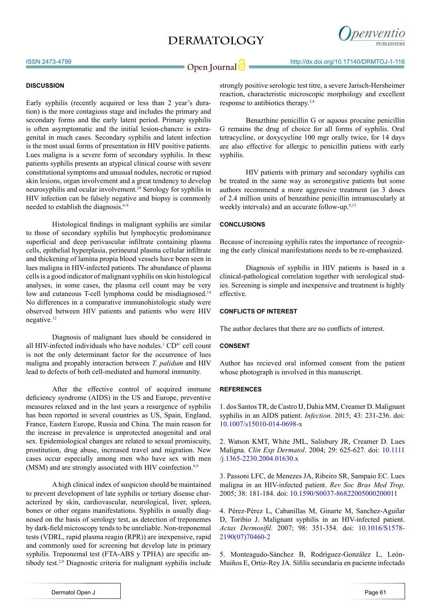## **DERMATOLOGY**



# **Open Journal @** http://dx.doi.org/10.17140/DRMTOJ-1-116

## **DISCUSSION**

Early syphilis (recently acquired or less than 2 year's duration) is the more contagious stage and includes the primary and secondary forms and the early latent period. Primary syphilis is often asymptomatic and the initial lesion-chancre is extragenital in much cases. Secondary syphilis and latent infection is the most usual forms of presentation in HIV positive patients. Lues maligna is a severe form of secondary syphilis. In these patients syphilis presents an atypical clinical course with severe constitutional symptoms and unusual nodules, necrotic or rupiod skin lesions, organ involvement and a great tendency to develop neurosyphilis and ocular involvement[.20](#page-2-1) Serology for syphilis in HIV infection can be falsely negative and biopsy is commonly needed to establish the diagnosis.<sup>[6-9](#page-2-2)</sup>

Histological findings in malignant syphilis are similar to those of secondary syphilis but lymphocytic predominance superficial and deep perivascular infiltrate containing plasma cells, epithelial hyperplasia, perineural plasma cellular infiltrate and thickening of lamina propia blood vessels have been seen in lues maligna in HIV-infected patients. The abundance of plasma cells is a good indicator of malignant syphilis on skin histological analyses, in some cases, the plasma cell count may be very low and cutaneous T-cell lymphoma could be misdiagnosed.<sup>[14](#page-2-3)</sup> No differences in a comparative immunohistologic study were observed between HIV patients and patients who were HIV negative[.12](#page-2-4)

Diagnosis of malignant lues should be considered in all HIV-infected individuals who have nodules.<sup>[1](#page-1-0)</sup> CD<sup>4+</sup> cell count is not the only determinant factor for the occurrence of lues maligna and propably interaction between *T. palidum* and HIV lead to defects of both cell-mediated and humoral immunity.

After the effective control of acquired immune deficiency syndrome (AIDS) in the US and Europe, preventive measures relaxed and in the last years a resurgence of syphilis has been reported in several countries as US, Spain, England, France, Eastern Europe, Russia and China. The main reason for the increase in prevalence is unprotected anogenital and oral sex. Epidemiological changes are related to sexual promiscuity, prostitution, drug abuse, increased travel and migration. New cases occur especially among men who have sex with men (MSM) and are strongly associated with HIV coinfection.<sup>[8,9](#page-2-5)</sup>

A high clinical index of suspicion should be maintained to prevent development of late syphilis or tertiary disease characterized by skin, cardiovascular, neurological, liver, spleen, bones or other organs manifestations. Syphilis is usually diagnosed on the basis of serology test, as detection of treponemes by dark-field microscopy tends to be unreliable. Non-treponemal tests (VDRL, rapid plasma reagin (RPR)) are inexpensive, rapid and commonly used for screening but develop late in primary syphilis. Treponemal test (FTA-ABS y TPHA) are specific antibody test[.2](#page-1-1),[9](#page-2-6) Diagnostic criteria for malignant syphilis include

strongly positive serologic test titre, a severe Jarisch-Hersheimer reaction, characteristic microscopic morphology and excellent response to antibiotics therapy[.3](#page-1-2),[6](#page-2-2)

Benazthine penicillin G or aquous procaine penicillin G remains the drug of choice for all forms of syphilis. Oral tetracycline, or doxycycline 100 mgr orally twice, for 14 days are also effective for allergic to penicillin patiens with early syphilis.

HIV patients with primary and secondary syphilis can be treated in the same way as seronegative patients but some authors recommend a more aggressive treatment (as 3 doses of 2.4 million units of benzathine penicillin intramuscularly at weekly intervals) and an accurate follow-up.<sup>[9](#page-2-6)[,13](#page-2-7)</sup>

### **CONCLUSIONS**

Because of increasing syphilis rates the importance of recognizing the early clinical manifestations needs to be re-emphasized.

Diagnosis of syphilis in HIV patients is based in a clinical-pathological correlation together with serological studies. Screening is simple and inexpensive and treatment is highly effective.

### **CONFLICTS OF INTEREST**

The author declares that there are no conflicts of interest.

## **CONSENT**

Author has recieved oral informed consent from the patient whose photograph is involved in this manuscript.

### **REFERENCES**

<span id="page-1-0"></span>1. dos Santos TR, de Castro IJ, Dahia MM, Creamer D. Malignant syphilis in an AIDS patient. *Infection*. 2015; 43: 231-236. doi: [10.1007/s15010-014-0698-x](http://link.springer.com/article/10.1007/s15010-014-0698-x)

<span id="page-1-1"></span>2. Watson KMT, White JML, Salisbury JR, Creamer D. Lues Maligna. *Clin Exp Dermatol*. 2004; 29: 625-627. doi: [10.1111](http://onlinelibrary.wiley.com/doi/10.1111/j.1365-2230.2004.01630.x/full) [/j.1365-2230.2004.01630.x](http://onlinelibrary.wiley.com/doi/10.1111/j.1365-2230.2004.01630.x/full)

<span id="page-1-2"></span>3. Passoni LFC, de Menezes JA, Ribeiro SR, Sampaio EC. Lues maligna in an HIV-infected patient. *Rev Soc Bras Med Trop*. 2005; 38: 181-184. doi: [10.1590/S0037-86822005000200011](http://www.scielo.br/scielo.php%3Fpid%3DS0037-86822005000200011%26script%3Dsci_arttext)

4. Pérez-Pérez L, Cabanillas M, Ginarte M, Sanchez-Aguilar D, Toribio J. Malignant syphilis in an HIV-infected patient. *Actas Dermosifil*. 2007; 98: 351-354. doi: [10.1016/S1578-](http://www.sciencedirect.com/science/article/pii/S1578219007704602) [2190\(07\)70460-2](http://www.sciencedirect.com/science/article/pii/S1578219007704602)

5. Monteagudo-Sánchez B, Rodríguez-González L, León-Muiños E, Ortiz-Rey JA. Sífilis secundaria en paciente infectado